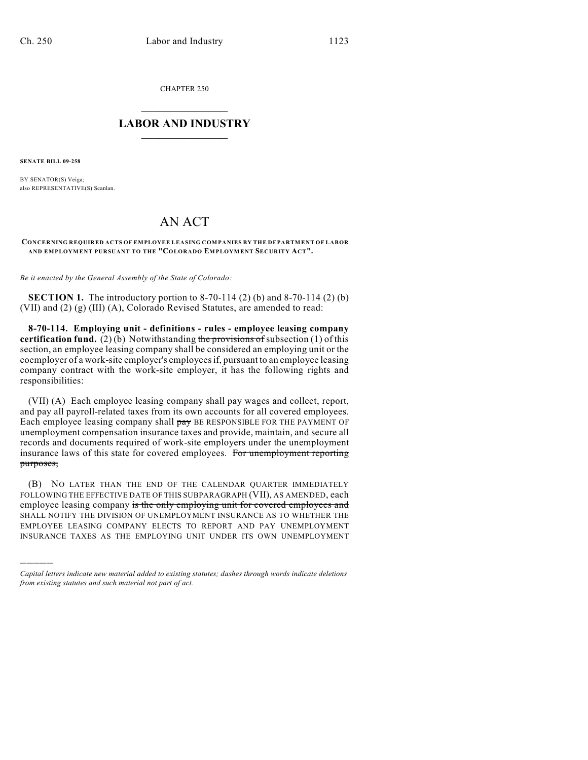CHAPTER 250

## $\overline{\phantom{a}}$  . The set of the set of the set of the set of the set of the set of the set of the set of the set of the set of the set of the set of the set of the set of the set of the set of the set of the set of the set o **LABOR AND INDUSTRY**  $\frac{1}{\sqrt{2}}$  ,  $\frac{1}{\sqrt{2}}$  ,  $\frac{1}{\sqrt{2}}$  ,  $\frac{1}{\sqrt{2}}$  ,  $\frac{1}{\sqrt{2}}$  ,  $\frac{1}{\sqrt{2}}$

**SENATE BILL 09-258**

)))))

BY SENATOR(S) Veiga; also REPRESENTATIVE(S) Scanlan.

## AN ACT

## **CONCERNING REQUIRED ACTS OF EMPLOYEE LEASING COMPANIES BY THE DEPARTMENT OF LABOR AND EMPLOYMENT PURSUANT TO THE "COLORADO EMPLOYMENT SECURITY ACT".**

*Be it enacted by the General Assembly of the State of Colorado:*

**SECTION 1.** The introductory portion to 8-70-114 (2) (b) and 8-70-114 (2) (b) (VII) and (2) (g) (III) (A), Colorado Revised Statutes, are amended to read:

**8-70-114. Employing unit - definitions - rules - employee leasing company certification fund.** (2) (b) Notwithstanding the provisions of subsection (1) of this section, an employee leasing company shall be considered an employing unit or the coemployer of a work-site employer's employees if, pursuant to an employee leasing company contract with the work-site employer, it has the following rights and responsibilities:

(VII) (A) Each employee leasing company shall pay wages and collect, report, and pay all payroll-related taxes from its own accounts for all covered employees. Each employee leasing company shall pay BE RESPONSIBLE FOR THE PAYMENT OF unemployment compensation insurance taxes and provide, maintain, and secure all records and documents required of work-site employers under the unemployment insurance laws of this state for covered employees. For unemployment reporting purposes,

(B) NO LATER THAN THE END OF THE CALENDAR QUARTER IMMEDIATELY FOLLOWING THE EFFECTIVE DATE OF THIS SUBPARAGRAPH (VII), AS AMENDED, each employee leasing company is the only employing unit for covered employees and SHALL NOTIFY THE DIVISION OF UNEMPLOYMENT INSURANCE AS TO WHETHER THE EMPLOYEE LEASING COMPANY ELECTS TO REPORT AND PAY UNEMPLOYMENT INSURANCE TAXES AS THE EMPLOYING UNIT UNDER ITS OWN UNEMPLOYMENT

*Capital letters indicate new material added to existing statutes; dashes through words indicate deletions from existing statutes and such material not part of act.*